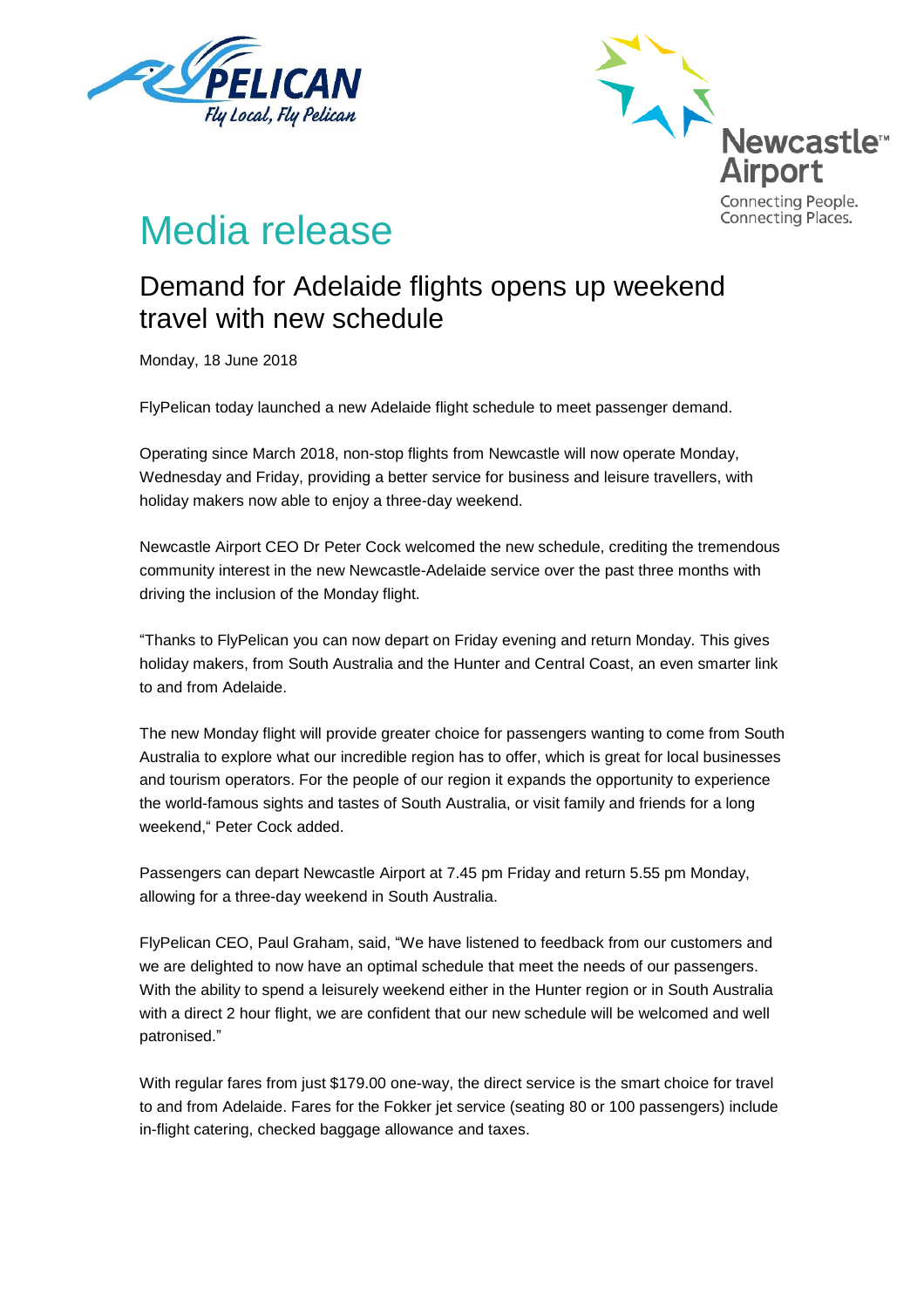



# Media release

## Demand for Adelaide flights opens up weekend travel with new schedule

Monday, 18 June 2018

FlyPelican today launched a new Adelaide flight schedule to meet passenger demand.

Operating since March 2018, non-stop flights from Newcastle will now operate Monday, Wednesday and Friday, providing a better service for business and leisure travellers, with holiday makers now able to enjoy a three-day weekend.

Newcastle Airport CEO Dr Peter Cock welcomed the new schedule, crediting the tremendous community interest in the new Newcastle-Adelaide service over the past three months with driving the inclusion of the Monday flight.

"Thanks to FlyPelican you can now depart on Friday evening and return Monday. This gives holiday makers, from South Australia and the Hunter and Central Coast, an even smarter link to and from Adelaide.

The new Monday flight will provide greater choice for passengers wanting to come from South Australia to explore what our incredible region has to offer, which is great for local businesses and tourism operators. For the people of our region it expands the opportunity to experience the world-famous sights and tastes of South Australia, or visit family and friends for a long weekend," Peter Cock added.

Passengers can depart Newcastle Airport at 7.45 pm Friday and return 5.55 pm Monday, allowing for a three-day weekend in South Australia.

FlyPelican CEO, Paul Graham, said, "We have listened to feedback from our customers and we are delighted to now have an optimal schedule that meet the needs of our passengers. With the ability to spend a leisurely weekend either in the Hunter region or in South Australia with a direct 2 hour flight, we are confident that our new schedule will be welcomed and well patronised."

With regular fares from just \$179.00 one-way, the direct service is the smart choice for travel to and from Adelaide. Fares for the Fokker jet service (seating 80 or 100 passengers) include in-flight catering, checked baggage allowance and taxes.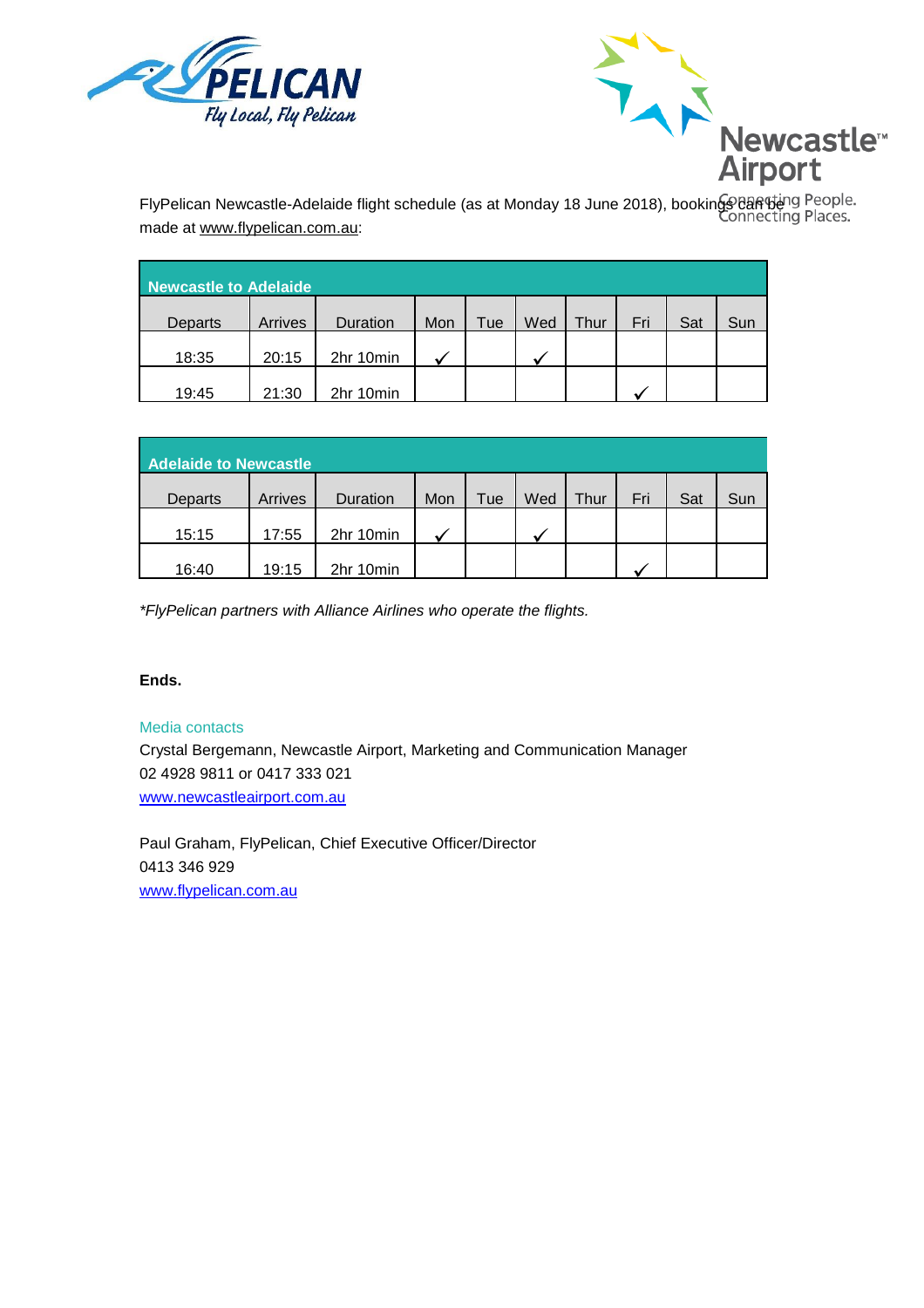



made at www.flypelican.com.au:

| Newcastle to Adelaide |         |           |     |     |     |      |     |     |     |  |
|-----------------------|---------|-----------|-----|-----|-----|------|-----|-----|-----|--|
| Departs               | Arrives | Duration  | Mon | Tue | Wed | Thur | Fri | Sat | Sun |  |
| 18:35                 | 20:15   | 2hr 10min |     |     |     |      |     |     |     |  |
| 19:45                 | 21:30   | 2hr 10min |     |     |     |      |     |     |     |  |

| <b>Adelaide to Newcastle</b> |         |           |     |     |     |      |     |     |     |  |
|------------------------------|---------|-----------|-----|-----|-----|------|-----|-----|-----|--|
| Departs                      | Arrives | Duration  | Mon | Tue | Wed | Thur | Fri | Sat | Sun |  |
| 15:15                        | 17:55   | 2hr 10min |     |     |     |      |     |     |     |  |
| 16:40                        | 19:15   | 2hr 10min |     |     |     |      |     |     |     |  |

*\*FlyPelican partners with Alliance Airlines who operate the flights.*

### **Ends.**

### Media contacts

Crystal Bergemann, Newcastle Airport, Marketing and Communication Manager 02 4928 9811 or 0417 333 021 [www.newcastleairport.com.au](http://www.newcastleairport.com.au/)

Paul Graham, FlyPelican, Chief Executive Officer/Director 0413 346 929 [www.flypelican.com.au](http://www.flypelican.com.au/)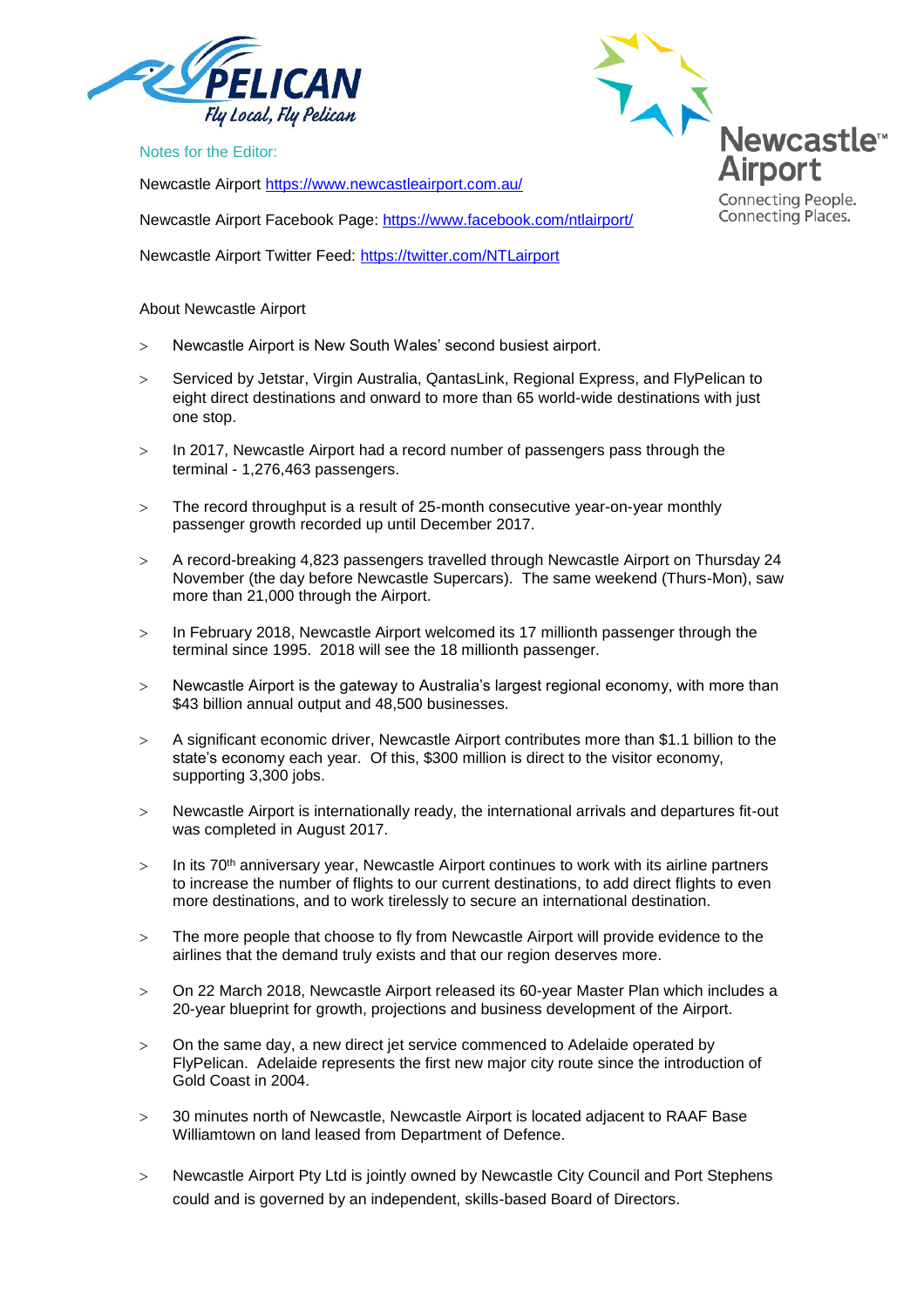

Notes for the Editor:

Newcastle Airport<https://www.newcastleairport.com.au/>

Newcastle Airport Facebook Page: <https://www.facebook.com/ntlairport/>

Newcastle Airport Twitter Feed:<https://twitter.com/NTLairport>

#### About Newcastle Airport

- Newcastle Airport is New South Wales' second busiest airport.
- Serviced by Jetstar, Virgin Australia, QantasLink, Regional Express, and FlyPelican to eight direct destinations and onward to more than 65 world-wide destinations with just one stop.
- > In 2017, Newcastle Airport had a record number of passengers pass through the terminal - 1,276,463 passengers.
- The record throughput is a result of 25-month consecutive year-on-year monthly passenger growth recorded up until December 2017.
- A record-breaking 4,823 passengers travelled through Newcastle Airport on Thursday 24 November (the day before Newcastle Supercars). The same weekend (Thurs-Mon), saw more than 21,000 through the Airport.
- $>$  In February 2018, Newcastle Airport welcomed its 17 millionth passenger through the terminal since 1995. 2018 will see the 18 millionth passenger.
- Newcastle Airport is the gateway to Australia's largest regional economy, with more than \$43 billion annual output and 48,500 businesses.
- A significant economic driver, Newcastle Airport contributes more than \$1.1 billion to the state's economy each year. Of this, \$300 million is direct to the visitor economy, supporting 3,300 jobs.
- Newcastle Airport is internationally ready, the international arrivals and departures fit-out was completed in August 2017.
- $>$  In its 70<sup>th</sup> anniversary year, Newcastle Airport continues to work with its airline partners to increase the number of flights to our current destinations, to add direct flights to even more destinations, and to work tirelessly to secure an international destination.
- $>$  The more people that choose to fly from Newcastle Airport will provide evidence to the airlines that the demand truly exists and that our region deserves more.
- On 22 March 2018, Newcastle Airport released its 60-year Master Plan which includes a 20-year blueprint for growth, projections and business development of the Airport.
- On the same day, a new direct jet service commenced to Adelaide operated by FlyPelican. Adelaide represents the first new major city route since the introduction of Gold Coast in 2004.
- 30 minutes north of Newcastle, Newcastle Airport is located adjacent to RAAF Base Williamtown on land leased from Department of Defence.
- > Newcastle Airport Pty Ltd is jointly owned by Newcastle City Council and Port Stephens could and is governed by an independent, skills-based Board of Directors.



Connecting Places.